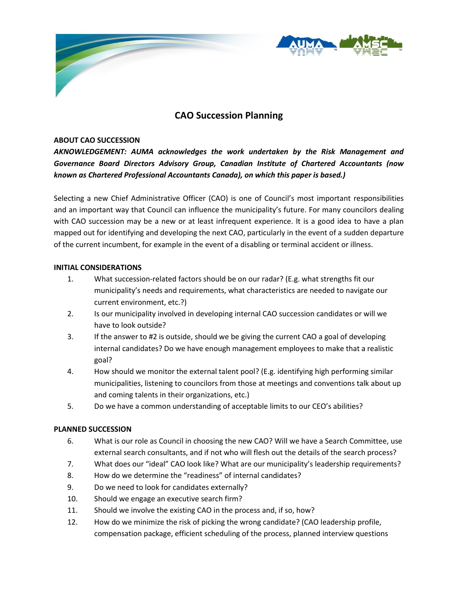

# **CAO Succession Planning**

#### **ABOUT CAO SUCCESSION**

*AKNOWLEDGEMENT: AUMA acknowledges the work undertaken by the Risk Management and Governance Board Directors Advisory Group, Canadian Institute of Chartered Accountants (now known as Chartered Professional Accountants Canada), on which this paper is based.)*

Selecting a new Chief Administrative Officer (CAO) is one of Council's most important responsibilities and an important way that Council can influence the municipality's future. For many councilors dealing with CAO succession may be a new or at least infrequent experience. It is a good idea to have a plan mapped out for identifying and developing the next CAO, particularly in the event of a sudden departure of the current incumbent, for example in the event of a disabling or terminal accident or illness.

#### **INITIAL CONSIDERATIONS**

- 1. What succession-related factors should be on our radar? (E.g. what strengths fit our municipality's needs and requirements, what characteristics are needed to navigate our current environment, etc.?)
- 2. Is our municipality involved in developing internal CAO succession candidates or will we have to look outside?
- 3. If the answer to #2 is outside, should we be giving the current CAO a goal of developing internal candidates? Do we have enough management employees to make that a realistic goal?
- 4. How should we monitor the external talent pool? (E.g. identifying high performing similar municipalities, listening to councilors from those at meetings and conventions talk about up and coming talents in their organizations, etc.)
- 5. Do we have a common understanding of acceptable limits to our CEO's abilities?

#### **PLANNED SUCCESSION**

- 6. What is our role as Council in choosing the new CAO? Will we have a Search Committee, use external search consultants, and if not who will flesh out the details of the search process?
- 7. What does our "ideal" CAO look like? What are our municipality's leadership requirements?
- 8. How do we determine the "readiness" of internal candidates?
- 9. Do we need to look for candidates externally?
- 10. Should we engage an executive search firm?
- 11. Should we involve the existing CAO in the process and, if so, how?
- 12. How do we minimize the risk of picking the wrong candidate? (CAO leadership profile, compensation package, efficient scheduling of the process, planned interview questions